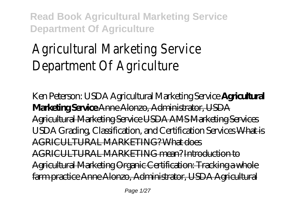# Agricultural Marketing Service Department Of Agriculture

Ken Peterson: USDA Agricultural Marketing Service **Agricultural Marketing Service** Anne Alonzo, Administrator, USDA Agricultural Marketing Service USDA AMS Marketing Services *USDA Grading, Classification, and Certification Services* What is AGRICULTURAL MARKETING? What does AGRICULTURAL MARKETING mean? Introduction to Agricultural Marketing Organic Certification: Tracking a whole farm practice Anne Alonzo, Administrator, USDA Agricultural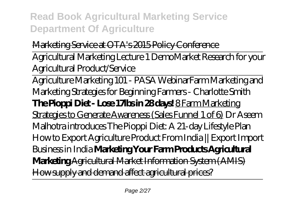Marketing Service at OTA's 2015 Policy Conference Agricultural Marketing Lecture 1 Demo*Market Research for your*

*Agricultural Product/Service*

Agriculture Marketing 101 - PASA Webinar*Farm Marketing and Marketing Strategies for Beginning Farmers - Charlotte Smith* **The Pioppi Diet - Lose 17lbs in 28 days!** 8 Farm Marketing Strategies to Generate Awareness (Sales Funnel 1 of 6) *Dr Aseem Malhotra introduces The Pioppi Diet: A 21-day Lifestyle Plan How to Export Agriculture Product From India || Export Import Business in India* **Marketing Your Farm Products Agricultural Marketing** Agricultural Market Information System (AMIS) How supply and demand affect agricultural prices?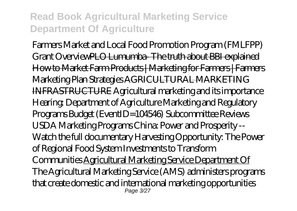Farmers Market and Local Food Promotion Program (FMLFPP) Grant OverviewPLO Lumumba- The truth about BBI explained How to Market Farm Products | Marketing for Farmers | Farmers Marketing Plan Strategies AGRICULTURAL MARKETING INFRASTRUCTURE *Agricultural marketing and its importance Hearing: Department of Agriculture Marketing and Regulatory Programs Budget (EventID=104546)* Subcommittee Reviews USDA Marketing Programs China: Power and Prosperity -- Watch the full documentary Harvesting Opportunity: The Power of Regional Food System Investments to Transform Communities Agricultural Marketing Service Department Of The Agricultural Marketing Service (AMS) administers programs that create domestic and international marketing opportunities Page 3/27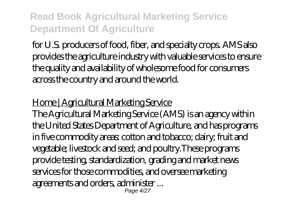for U.S. producers of food, fiber, and specialty crops. AMS also provides the agriculture industry with valuable services to ensure the quality and availability of wholesome food for consumers across the country and around the world.

#### Home | Agricultural Marketing Service

The Agricultural Marketing Service (AMS) is an agency within the United States Department of Agriculture, and has programs in five commodity areas: cotton and tobacco; dairy; fruit and vegetable; livestock and seed; and poultry.These programs provide testing, standardization, grading and market news services for those commodities, and oversee marketing agreements and orders, administer ... Page 4/27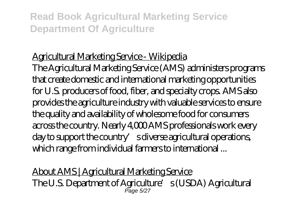#### Agricultural Marketing Service - Wikipedia

The Agricultural Marketing Service (AMS) administers programs that create domestic and international marketing opportunities for U.S. producers of food, fiber, and specialty crops. AMS also provides the agriculture industry with valuable services to ensure the quality and availability of wholesome food for consumers across the country. Nearly 4,000 AMS professionals work every day to support the country' sdiverse agricultural operations, which range from individual farmers to international ...

About AMS | Agricultural Marketing Service The U.S. Department of Agriculture's (USDA) Agricultural<br>Page 5/27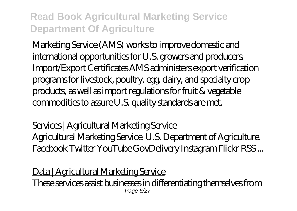Marketing Service (AMS) works to improve domestic and international opportunities for U.S. growers and producers. Import/Export Certificates AMS administers export verification programs for livestock, poultry, egg, dairy, and specialty crop products, as well as import regulations for fruit & vegetable commodities to assure U.S. quality standards are met.

Services | Agricultural Marketing Service Agricultural Marketing Service. U.S. Department of Agriculture. Facebook Twitter YouTube GovDelivery Instagram Flickr RSS ...

Data | Agricultural Marketing Service These services assist businesses in differentiating themselves from Page 6/27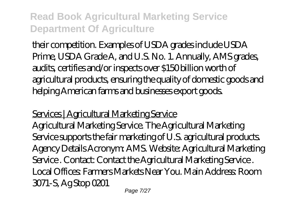their competition. Examples of USDA grades include USDA Prime, USDA Grade A, and U.S. No. 1. Annually, AMS grades, audits, certifies and/or inspects over \$150 billion worth of agricultural products, ensuring the quality of domestic goods and helping American farms and businesses export goods.

Services | Agricultural Marketing Service

Agricultural Marketing Service. The Agricultural Marketing Service supports the fair marketing of U.S. agricultural products. Agency Details Acronym: AMS. Website: Agricultural Marketing Service . Contact: Contact the Agricultural Marketing Service . Local Offices: Farmers Markets Near You. Main Address: Room 3071-S, Ag Stop 0201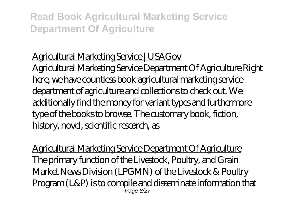#### Agricultural Marketing Service | USAGov

Agricultural Marketing Service Department Of Agriculture Right here, we have countless book agricultural marketing service department of agriculture and collections to check out. We additionally find the money for variant types and furthermore type of the books to browse. The customary book, fiction, history, novel, scientific research, as

Agricultural Marketing Service Department Of Agriculture The primary function of the Livestock, Poultry, and Grain Market News Division (LPGMN) of the Livestock & Poultry Program (L&P) is to compile and disseminate information that Page 8/27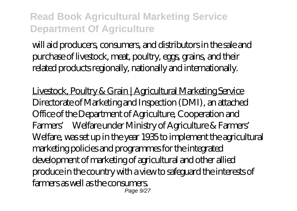will aid producers, consumers, and distributors in the sale and purchase of livestock, meat, poultry, eggs, grains, and their related products regionally, nationally and internationally.

Livestock, Poultry & Grain | Agricultural Marketing Service Directorate of Marketing and Inspection (DMI), an attached Office of the Department of Agriculture, Cooperation and Farmers' Welfare under Ministry of Agriculture & Farmers' Welfare, was set up in the year 1935 to implement the agricultural marketing policies and programmes for the integrated development of marketing of agricultural and other allied produce in the country with a view to safeguard the interests of farmers as well as the consumers. Page  $9/27$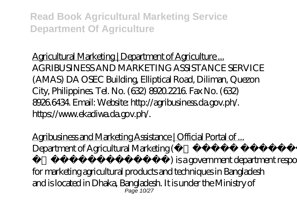Agricultural Marketing | Department of Agriculture ... AGRIBUSINESS AND MARKETING ASSISTANCE SERVICE (AMAS) DA OSEC Building, Elliptical Road, Diliman, Quezon City, Philippines. Tel. No. (632) 8920.2216. Fax No. (632) 8926.6434. Email: Website: http://agribusiness.da.gov.ph/. https://www.ekadiwa.da.gov.ph/.

Agribusiness and Marketing Assistance | Official Portal of ... Department of Agricultural Marketing (

) is a government department responsible for marketing agricultural products and techniques in Bangladesh and is located in Dhaka, Bangladesh. It is under the Ministry of  $P<sub>2</sub>$ ne 10/27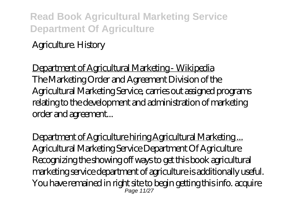#### Agriculture. History

Department of Agricultural Marketing - Wikipedia The Marketing Order and Agreement Division of the Agricultural Marketing Service, carries out assigned programs relating to the development and administration of marketing order and agreement...

Department of Agriculture hiring Agricultural Marketing ... Agricultural Marketing Service Department Of Agriculture Recognizing the showing off ways to get this book agricultural marketing service department of agriculture is additionally useful. You have remained in right site to begin getting this info. acquire Page 11/27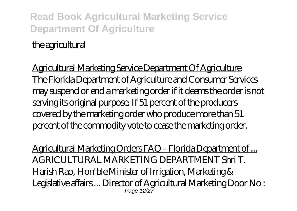the agricultural

Agricultural Marketing Service Department Of Agriculture The Florida Department of Agriculture and Consumer Services may suspend or end a marketing order if it deems the order is not serving its original purpose. If 51 percent of the producers covered by the marketing order who produce more than 51 percent of the commodity vote to cease the marketing order.

Agricultural Marketing Orders FAQ - Florida Department of ... AGRICULTURAL MARKETING DEPARTMENT Shri T. Harish Rao, Hon'ble Minister of Irrigation, Marketing & Legislative affairs ... Director of Agricultural Marketing Door No : Page 12/27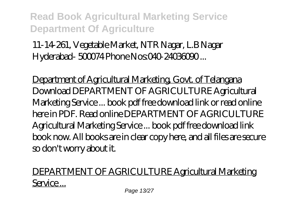11-14-261, Vegetable Market, NTR Nagar, L.B Nagar Hyderabad- 500074 Phone Nos 040-24036090...

Department of Agricultural Marketing, Govt. of Telangana Download DEPARTMENT OF AGRICULTURE Agricultural Marketing Service ... book pdf free download link or read online here in PDF. Read online DEPARTMENT OF AGRICULTURE Agricultural Marketing Service ... book pdf free download link book now. All books are in clear copy here, and all files are secure so don't worry about it.

#### DEPARTMENT OF AGRICULTURE Agricultural Marketing Service...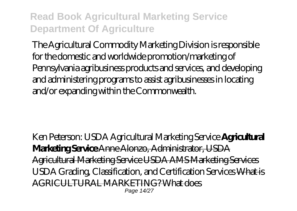The Agricultural Commodity Marketing Division is responsible for the domestic and worldwide promotion/marketing of Pennsylvania agribusiness products and services, and developing and administering programs to assist agribusinesses in locating and/or expanding within the Commonwealth.

Ken Peterson: USDA Agricultural Marketing Service **Agricultural Marketing Service** Anne Alonzo, Administrator, USDA Agricultural Marketing Service USDA AMS Marketing Services *USDA Grading, Classification, and Certification Services* What is AGRICULTURAL MARKETING? What does Page 14/27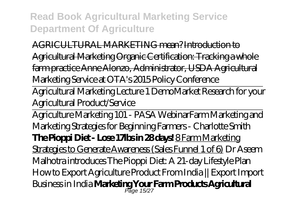AGRICULTURAL MARKETING mean? Introduction to Agricultural Marketing Organic Certification: Tracking a whole farm practice Anne Alonzo, Administrator, USDA Agricultural Marketing Service at OTA's 2015 Policy Conference

Agricultural Marketing Lecture 1 Demo*Market Research for your Agricultural Product/Service*

Agriculture Marketing 101 - PASA Webinar*Farm Marketing and Marketing Strategies for Beginning Farmers - Charlotte Smith* **The Pioppi Diet - Lose 17lbs in 28 days!** 8 Farm Marketing Strategies to Generate Awareness (Sales Funnel 1 of 6) *Dr Aseem Malhotra introduces The Pioppi Diet: A 21-day Lifestyle Plan How to Export Agriculture Product From India || Export Import Business in India* **Marketing Your Farm Products Agricultural** Page 15/27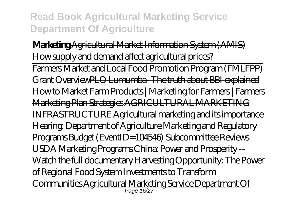**Marketing** Agricultural Market Information System (AMIS) How supply and demand affect agricultural prices?

Farmers Market and Local Food Promotion Program (FMLFPP) Grant OverviewPLO Lumumba- The truth about BBI explained How to Market Farm Products | Marketing for Farmers | Farmers Marketing Plan Strategies AGRICULTURAL MARKETING INFRASTRUCTURE *Agricultural marketing and its importance Hearing: Department of Agriculture Marketing and Regulatory Programs Budget (EventID=104546)* Subcommittee Reviews USDA Marketing Programs China: Power and Prosperity -- Watch the full documentary Harvesting Opportunity: The Power of Regional Food System Investments to Transform Communities <u>Agricultural Marketing Service Department Of</u><br><sup>Page 1627</sup>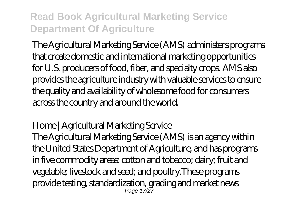The Agricultural Marketing Service (AMS) administers programs that create domestic and international marketing opportunities for U.S. producers of food, fiber, and specialty crops. AMS also provides the agriculture industry with valuable services to ensure the quality and availability of wholesome food for consumers across the country and around the world.

#### Home | Agricultural Marketing Service

The Agricultural Marketing Service (AMS) is an agency within the United States Department of Agriculture, and has programs in five commodity areas: cotton and tobacco; dairy; fruit and vegetable; livestock and seed; and poultry.These programs provide testing, standardization, grading and market news Page 17/27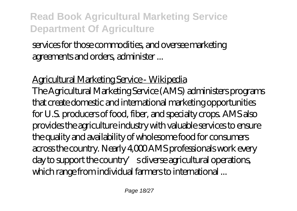services for those commodities, and oversee marketing agreements and orders, administer ...

Agricultural Marketing Service - Wikipedia The Agricultural Marketing Service (AMS) administers programs that create domestic and international marketing opportunities for U.S. producers of food, fiber, and specialty crops. AMS also provides the agriculture industry with valuable services to ensure the quality and availability of wholesome food for consumers across the country. Nearly 4,000 AMS professionals work every day to support the country's diverse agricultural operations, which range from individual farmers to international ...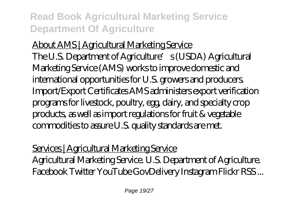About AMS | Agricultural Marketing Service The U.S. Department of Agriculture's (USDA) Agricultural Marketing Service (AMS) works to improve domestic and international opportunities for U.S. growers and producers. Import/Export Certificates AMS administers export verification programs for livestock, poultry, egg, dairy, and specialty crop products, as well as import regulations for fruit & vegetable commodities to assure U.S. quality standards are met.

Services | Agricultural Marketing Service Agricultural Marketing Service. U.S. Department of Agriculture. Facebook Twitter YouTube GovDelivery Instagram Flickr RSS ...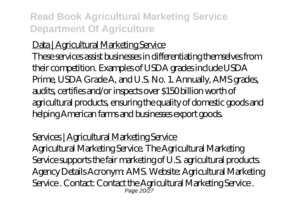#### Data | Agricultural Marketing Service

These services assist businesses in differentiating themselves from their competition. Examples of USDA grades include USDA Prime, USDA Grade A, and U.S. No. 1. Annually, AMS grades, audits, certifies and/or inspects over \$150 billion worth of agricultural products, ensuring the quality of domestic goods and helping American farms and businesses export goods.

#### Services | Agricultural Marketing Service

Agricultural Marketing Service. The Agricultural Marketing Service supports the fair marketing of U.S. agricultural products. Agency Details Acronym: AMS. Website: Agricultural Marketing Service . Contact: Contact the Agricultural Marketing Service . Page 20/27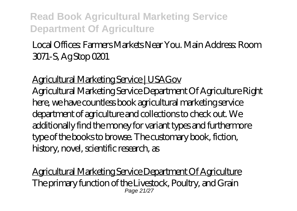#### Local Offices: Farmers Markets Near You. Main Address: Room 3071-S, Ag Stop 0201

Agricultural Marketing Service | USAGov Agricultural Marketing Service Department Of Agriculture Right here, we have countless book agricultural marketing service department of agriculture and collections to check out. We additionally find the money for variant types and furthermore type of the books to browse. The customary book, fiction, history, novel, scientific research, as

Agricultural Marketing Service Department Of Agriculture The primary function of the Livestock, Poultry, and Grain Page 21/27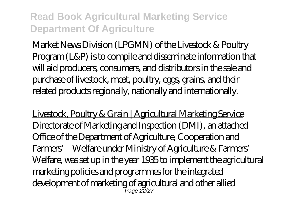Market News Division (LPGMN) of the Livestock & Poultry Program (L&P) is to compile and disseminate information that will aid producers, consumers, and distributors in the sale and purchase of livestock, meat, poultry, eggs, grains, and their related products regionally, nationally and internationally.

Livestock, Poultry & Grain | Agricultural Marketing Service Directorate of Marketing and Inspection (DMI), an attached Office of the Department of Agriculture, Cooperation and Farmers' Welfare under Ministry of Agriculture & Farmers' Welfare, was set up in the year 1935 to implement the agricultural marketing policies and programmes for the integrated development of marketing of agricultural and other allied<br><sup>Page 22/27</sup>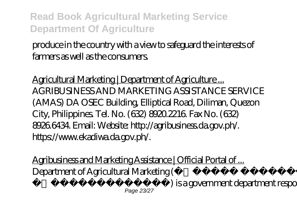produce in the country with a view to safeguard the interests of farmers as well as the consumers.

Agricultural Marketing | Department of Agriculture ... AGRIBUSINESS AND MARKETING ASSISTANCE SERVICE (AMAS) DA OSEC Building, Elliptical Road, Diliman, Quezon City, Philippines. Tel. No. (632) 8920.2216. Fax No. (632) 8926.6434. Email: Website: http://agribusiness.da.gov.ph/. https://www.ekadiwa.da.gov.ph/.

Agribusiness and Marketing Assistance | Official Portal of ... Department of Agricultural Marketing ( অধিদপ্তর) is a government department responsible Page 23/27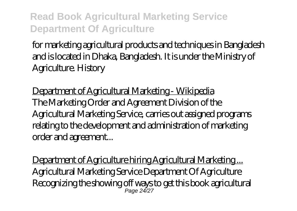for marketing agricultural products and techniques in Bangladesh and is located in Dhaka, Bangladesh. It is under the Ministry of Agriculture. History

Department of Agricultural Marketing - Wikipedia The Marketing Order and Agreement Division of the Agricultural Marketing Service, carries out assigned programs relating to the development and administration of marketing order and agreement...

Department of Agriculture hiring Agricultural Marketing ... Agricultural Marketing Service Department Of Agriculture Recognizing the showing off ways to get this book agricultural Page 24/27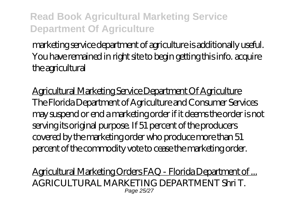marketing service department of agriculture is additionally useful. You have remained in right site to begin getting this info. acquire the agricultural

Agricultural Marketing Service Department Of Agriculture The Florida Department of Agriculture and Consumer Services may suspend or end a marketing order if it deems the order is not serving its original purpose. If 51 percent of the producers covered by the marketing order who produce more than 51 percent of the commodity vote to cease the marketing order.

Agricultural Marketing Orders FAQ - Florida Department of ... AGRICULTURAL MARKETING DEPARTMENT Shri T. Page 25/27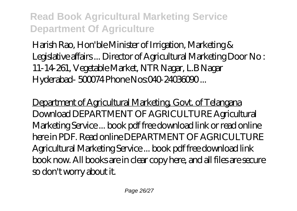Harish Rao, Hon'ble Minister of Irrigation, Marketing & Legislative affairs ... Director of Agricultural Marketing Door No : 11-14-261, Vegetable Market, NTR Nagar, L.B Nagar Hyderabad- 500074 Phone Nos:040-24036090...

Department of Agricultural Marketing, Govt. of Telangana Download DEPARTMENT OF AGRICULTURE Agricultural Marketing Service ... book pdf free download link or read online here in PDF. Read online DEPARTMENT OF AGRICULTURE Agricultural Marketing Service ... book pdf free download link book now. All books are in clear copy here, and all files are secure so don't worry about it.